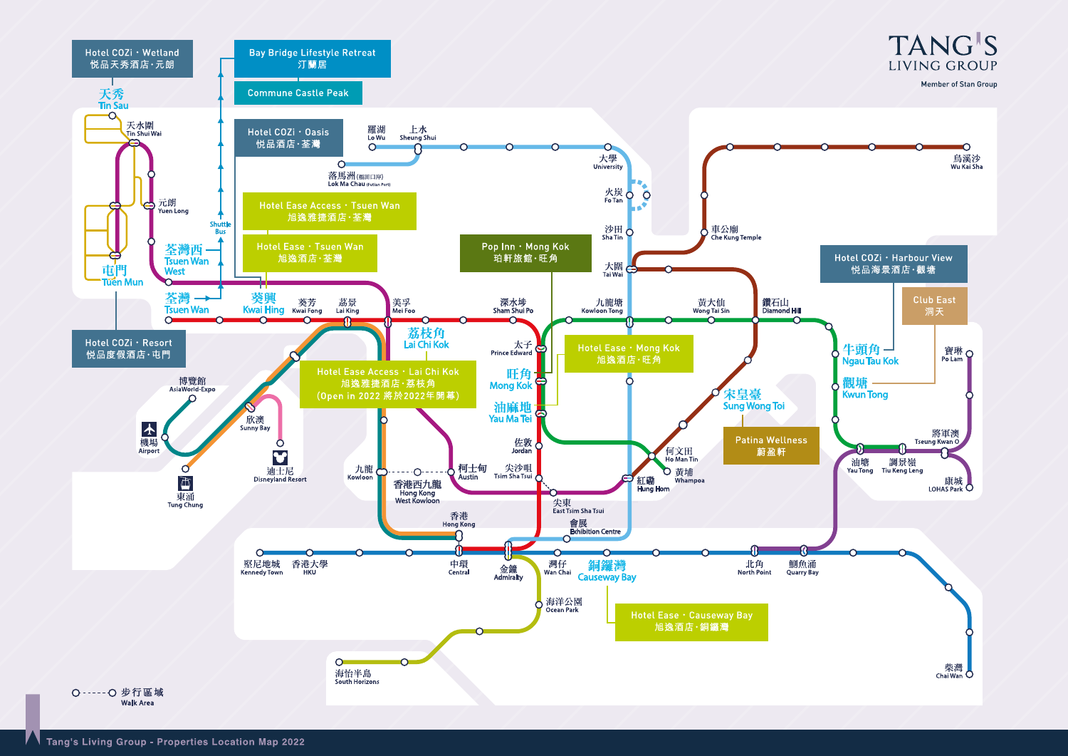